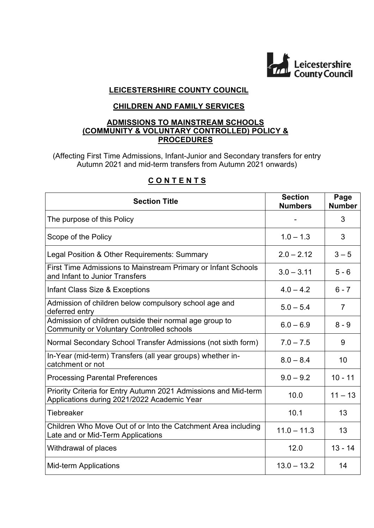

# **LEICESTERSHIRE COUNTY COUNCIL**

# **CHILDREN AND FAMILY SERVICES**

## **ADMISSIONS TO MAINSTREAM SCHOOLS (COMMUNITY & VOLUNTARY CONTROLLED) POLICY & PROCEDURES**

(Affecting First Time Admissions, Infant-Junior and Secondary transfers for entry Autumn 2021 and mid-term transfers from Autumn 2021 onwards)

| <b>Section Title</b>                                                                                           | <b>Section</b><br><b>Numbers</b> | Page<br><b>Number</b> |
|----------------------------------------------------------------------------------------------------------------|----------------------------------|-----------------------|
| The purpose of this Policy                                                                                     |                                  | 3                     |
| Scope of the Policy                                                                                            | $1.0 - 1.3$                      | 3                     |
| Legal Position & Other Requirements: Summary                                                                   | $2.0 - 2.12$                     | $3 - 5$               |
| First Time Admissions to Mainstream Primary or Infant Schools<br>and Infant to Junior Transfers                | $3.0 - 3.11$                     | $5 - 6$               |
| Infant Class Size & Exceptions                                                                                 | $4.0 - 4.2$                      | $6 - 7$               |
| Admission of children below compulsory school age and<br>deferred entry                                        | $5.0 - 5.4$                      | $\overline{7}$        |
| Admission of children outside their normal age group to<br><b>Community or Voluntary Controlled schools</b>    | $6.0 - 6.9$                      | $8 - 9$               |
| Normal Secondary School Transfer Admissions (not sixth form)                                                   | $7.0 - 7.5$                      | 9                     |
| In-Year (mid-term) Transfers (all year groups) whether in-<br>catchment or not                                 | $8.0 - 8.4$                      | 10                    |
| <b>Processing Parental Preferences</b>                                                                         | $9.0 - 9.2$                      | $10 - 11$             |
| Priority Criteria for Entry Autumn 2021 Admissions and Mid-term<br>Applications during 2021/2022 Academic Year | 10.0                             | $11 - 13$             |
| <b>Tiebreaker</b>                                                                                              | 10.1                             | 13                    |
| Children Who Move Out of or Into the Catchment Area including<br>Late and or Mid-Term Applications             | $11.0 - 11.3$                    | 13                    |
| Withdrawal of places                                                                                           | 12.0                             | $13 - 14$             |
| <b>Mid-term Applications</b>                                                                                   | $13.0 - 13.2$                    | 14                    |

# **C O N T E N T S**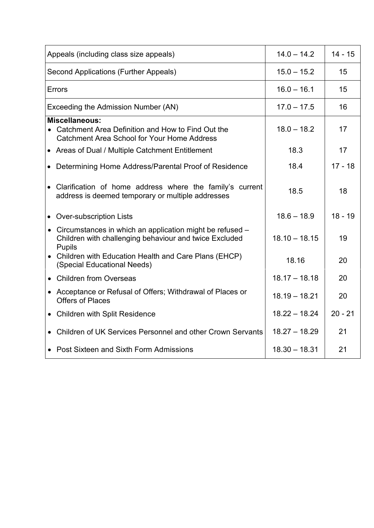| Appeals (including class size appeals)                                                                                                | $14.0 - 14.2$   | $14 - 15$ |
|---------------------------------------------------------------------------------------------------------------------------------------|-----------------|-----------|
| <b>Second Applications (Further Appeals)</b>                                                                                          | $15.0 - 15.2$   | 15        |
| <b>Errors</b>                                                                                                                         | $16.0 - 16.1$   | 15        |
| Exceeding the Admission Number (AN)                                                                                                   | $17.0 - 17.5$   | 16        |
| <b>Miscellaneous:</b><br>• Catchment Area Definition and How to Find Out the<br><b>Catchment Area School for Your Home Address</b>    | $18.0 - 18.2$   | 17        |
| • Areas of Dual / Multiple Catchment Entitlement                                                                                      | 18.3            | 17        |
| • Determining Home Address/Parental Proof of Residence                                                                                | 18.4            | $17 - 18$ |
| • Clarification of home address where the family's current<br>address is deemed temporary or multiple addresses                       | 18.5            | 18        |
| • Over-subscription Lists                                                                                                             | $18.6 - 18.9$   | $18 - 19$ |
| • Circumstances in which an application might be refused -<br>Children with challenging behaviour and twice Excluded<br><b>Pupils</b> | $18.10 - 18.15$ | 19        |
| • Children with Education Health and Care Plans (EHCP)<br>(Special Educational Needs)                                                 | 18.16           | 20        |
| • Children from Overseas                                                                                                              | $18.17 - 18.18$ | 20        |
| • Acceptance or Refusal of Offers; Withdrawal of Places or<br><b>Offers of Places</b>                                                 | $18.19 - 18.21$ | 20        |
| • Children with Split Residence                                                                                                       | $18.22 - 18.24$ | $20 - 21$ |
| Children of UK Services Personnel and other Crown Servants                                                                            | $18.27 - 18.29$ | 21        |
| • Post Sixteen and Sixth Form Admissions                                                                                              | $18.30 - 18.31$ | 21        |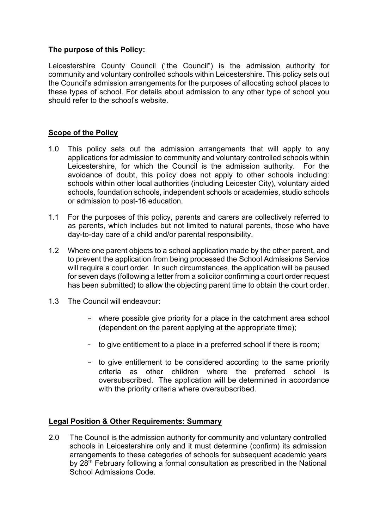## **The purpose of this Policy:**

Leicestershire County Council ("the Council") is the admission authority for community and voluntary controlled schools within Leicestershire. This policy sets out the Council's admission arrangements for the purposes of allocating school places to these types of school. For details about admission to any other type of school you should refer to the school's website.

## **Scope of the Policy**

- 1.0 This policy sets out the admission arrangements that will apply to any applications for admission to community and voluntary controlled schools within Leicestershire, for which the Council is the admission authority. For the avoidance of doubt, this policy does not apply to other schools including: schools within other local authorities (including Leicester City), voluntary aided schools, foundation schools, independent schools or academies, studio schools or admission to post-16 education.
- 1.1 For the purposes of this policy, parents and carers are collectively referred to as parents, which includes but not limited to natural parents, those who have day-to-day care of a child and/or parental responsibility.
- 1.2 Where one parent objects to a school application made by the other parent, and to prevent the application from being processed the School Admissions Service will require a court order. In such circumstances, the application will be paused for seven days (following a letter from a solicitor confirming a court order request has been submitted) to allow the objecting parent time to obtain the court order.
- 1.3 The Council will endeavour:
	- $\sim$  where possible give priority for a place in the catchment area school (dependent on the parent applying at the appropriate time);
	- $\sim$  to give entitlement to a place in a preferred school if there is room;
	- $\sim$  to give entitlement to be considered according to the same priority criteria as other children where the preferred school is oversubscribed. The application will be determined in accordance with the priority criteria where oversubscribed.

## **Legal Position & Other Requirements: Summary**

2.0 The Council is the admission authority for community and voluntary controlled schools in Leicestershire only and it must determine (confirm) its admission arrangements to these categories of schools for subsequent academic years by 28<sup>th</sup> February following a formal consultation as prescribed in the National School Admissions Code.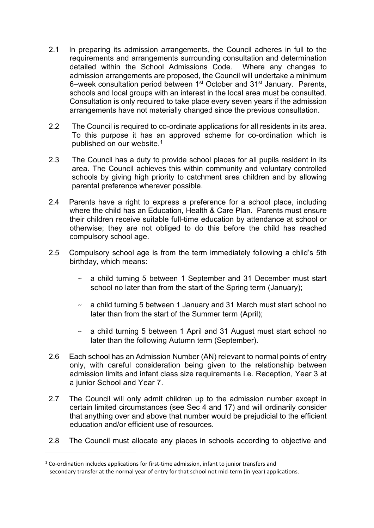- 2.1 In preparing its admission arrangements, the Council adheres in full to the requirements and arrangements surrounding consultation and determination detailed within the School Admissions Code. Where any changes to admission arrangements are proposed, the Council will undertake a minimum damission analigement of energy is a set of order and 31<sup>st</sup> January. Parents, schools and local groups with an interest in the local area must be consulted. Consultation is only required to take place every seven years if the admission arrangements have not materially changed since the previous consultation.
- 2.2 The Council is required to co-ordinate applications for all residents in its area. To this purpose it has an approved scheme for co-ordination which is published on our website. 1
- 2.3 The Council has a duty to provide school places for all pupils resident in its area. The Council achieves this within community and voluntary controlled schools by giving high priority to catchment area children and by allowing parental preference wherever possible.
- 2.4 Parents have a right to express a preference for a school place, including where the child has an Education, Health & Care Plan. Parents must ensure their children receive suitable full-time education by attendance at school or otherwise; they are not obliged to do this before the child has reached compulsory school age.
- 2.5 Compulsory school age is from the term immediately following a child's 5th birthday, which means:
	- a child turning 5 between 1 September and 31 December must start school no later than from the start of the Spring term (January);
	- $\sim$  a child turning 5 between 1 January and 31 March must start school no later than from the start of the Summer term (April);
	- $\sim$  a child turning 5 between 1 April and 31 August must start school no later than the following Autumn term (September).
- 2.6 Each school has an Admission Number (AN) relevant to normal points of entry only, with careful consideration being given to the relationship between admission limits and infant class size requirements i.e. Reception, Year 3 at a junior School and Year 7.
- 2.7 The Council will only admit children up to the admission number except in certain limited circumstances (see Sec 4 and 17) and will ordinarily consider that anything over and above that number would be prejudicial to the efficient education and/or efficient use of resources.
- 2.8 The Council must allocate any places in schools according to objective and

 $1$  Co-ordination includes applications for first-time admission, infant to junior transfers and secondary transfer at the normal year of entry for that school not mid-term (in-year) applications.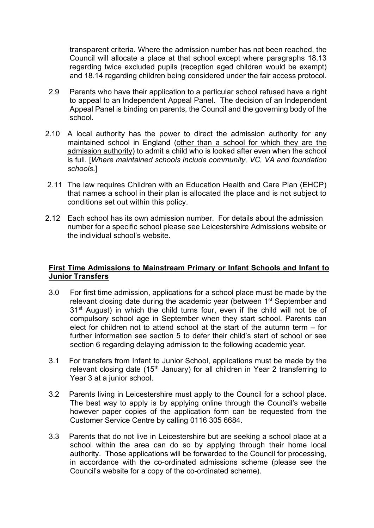transparent criteria. Where the admission number has not been reached, the Council will allocate a place at that school except where paragraphs 18.13 regarding twice excluded pupils (reception aged children would be exempt) and 18.14 regarding children being considered under the fair access protocol.

- 2.9 Parents who have their application to a particular school refused have a right to appeal to an Independent Appeal Panel. The decision of an Independent Appeal Panel is binding on parents, the Council and the governing body of the school.
- 2.10 A local authority has the power to direct the admission authority for any maintained school in England (other than a school for which they are the admission authority) to admit a child who is looked after even when the school is full. [*Where maintained schools include community, VC, VA and foundation schools*.]
- 2.11 The law requires Children with an Education Health and Care Plan (EHCP) that names a school in their plan is allocated the place and is not subject to conditions set out within this policy.
- 2.12 Each school has its own admission number. For details about the admission number for a specific school please see Leicestershire Admissions website or the individual school's website.

## **First Time Admissions to Mainstream Primary or Infant Schools and Infant to Junior Transfers**

- 3.0 For first time admission, applications for a school place must be made by the relevant closing date during the academic year (between 1<sup>st</sup> September and 31<sup>st</sup> August) in which the child turns four, even if the child will not be of compulsory school age in September when they start school. Parents can elect for children not to attend school at the start of the autumn term – for further information see section 5 to defer their child's start of school or see section 6 regarding delaying admission to the following academic year.
- 3.1 For transfers from Infant to Junior School, applications must be made by the relevant closing date (15<sup>th</sup> January) for all children in Year 2 transferring to Year 3 at a junior school.
- 3.2 Parents living in Leicestershire must apply to the Council for a school place. The best way to apply is by applying online through the Council's website however paper copies of the application form can be requested from the Customer Service Centre by calling 0116 305 6684.
- 3.3 Parents that do not live in Leicestershire but are seeking a school place at a school within the area can do so by applying through their home local authority. Those applications will be forwarded to the Council for processing, in accordance with the co-ordinated admissions scheme (please see the Council's website for a copy of the co-ordinated scheme).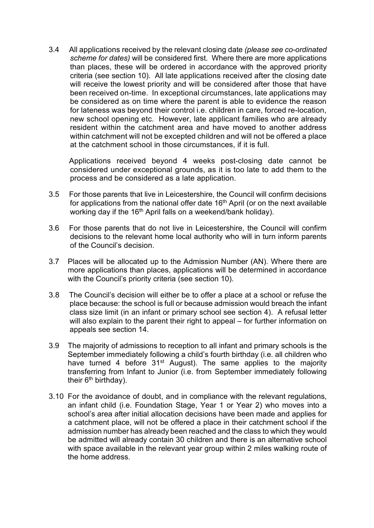3.4 All applications received by the relevant closing date *(please see co-ordinated scheme for dates)* will be considered first. Where there are more applications than places, these will be ordered in accordance with the approved priority criteria (see section 10). All late applications received after the closing date will receive the lowest priority and will be considered after those that have been received on-time. In exceptional circumstances, late applications may be considered as on time where the parent is able to evidence the reason for lateness was beyond their control i.e. children in care, forced re-location, new school opening etc. However, late applicant families who are already resident within the catchment area and have moved to another address within catchment will not be excepted children and will not be offered a place at the catchment school in those circumstances, if it is full.

Applications received beyond 4 weeks post-closing date cannot be considered under exceptional grounds, as it is too late to add them to the process and be considered as a late application.

- 3.5 For those parents that live in Leicestershire, the Council will confirm decisions for applications from the national offer date  $16<sup>th</sup>$  April (or on the next available working day if the 16<sup>th</sup> April falls on a weekend/bank holiday).
- 3.6 For those parents that do not live in Leicestershire, the Council will confirm decisions to the relevant home local authority who will in turn inform parents of the Council's decision.
- 3.7 Places will be allocated up to the Admission Number (AN). Where there are more applications than places, applications will be determined in accordance with the Council's priority criteria (see section 10).
- 3.8 The Council's decision will either be to offer a place at a school or refuse the place because: the school is full or because admission would breach the infant class size limit (in an infant or primary school see section 4). A refusal letter will also explain to the parent their right to appeal – for further information on appeals see section 14.
- 3.9 The majority of admissions to reception to all infant and primary schools is the September immediately following a child's fourth birthday (i.e. all children who have turned 4 before 31<sup>st</sup> August). The same applies to the majority transferring from Infant to Junior (i.e. from September immediately following their  $6<sup>th</sup>$  birthday).
- 3.10 For the avoidance of doubt, and in compliance with the relevant regulations, an infant child (i.e. Foundation Stage, Year 1 or Year 2) who moves into a school's area after initial allocation decisions have been made and applies for a catchment place, will not be offered a place in their catchment school if the admission number has already been reached and the class to which they would be admitted will already contain 30 children and there is an alternative school with space available in the relevant year group within 2 miles walking route of the home address.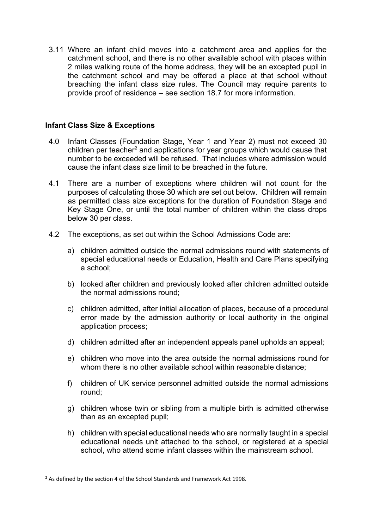3.11 Where an infant child moves into a catchment area and applies for the catchment school, and there is no other available school with places within 2 miles walking route of the home address, they will be an excepted pupil in the catchment school and may be offered a place at that school without breaching the infant class size rules. The Council may require parents to provide proof of residence – see section 18.7 for more information.

## **Infant Class Size & Exceptions**

- 4.0 Infant Classes (Foundation Stage, Year 1 and Year 2) must not exceed 30 children per teacher<sup>2</sup> and applications for year groups which would cause that number to be exceeded will be refused. That includes where admission would cause the infant class size limit to be breached in the future.
- 4.1 There are a number of exceptions where children will not count for the purposes of calculating those 30 which are set out below. Children will remain as permitted class size exceptions for the duration of Foundation Stage and Key Stage One, or until the total number of children within the class drops below 30 per class.
- 4.2 The exceptions, as set out within the School Admissions Code are:
	- a) children admitted outside the normal admissions round with statements of special educational needs or Education, Health and Care Plans specifying a school;
	- b) looked after children and previously looked after children admitted outside the normal admissions round;
	- c) children admitted, after initial allocation of places, because of a procedural error made by the admission authority or local authority in the original application process;
	- d) children admitted after an independent appeals panel upholds an appeal;
	- e) children who move into the area outside the normal admissions round for whom there is no other available school within reasonable distance;
	- f) children of UK service personnel admitted outside the normal admissions round;
	- g) children whose twin or sibling from a multiple birth is admitted otherwise than as an excepted pupil;
	- h) children with special educational needs who are normally taught in a special educational needs unit attached to the school, or registered at a special school, who attend some infant classes within the mainstream school.

 $2$  As defined by the section 4 of the School Standards and Framework Act 1998.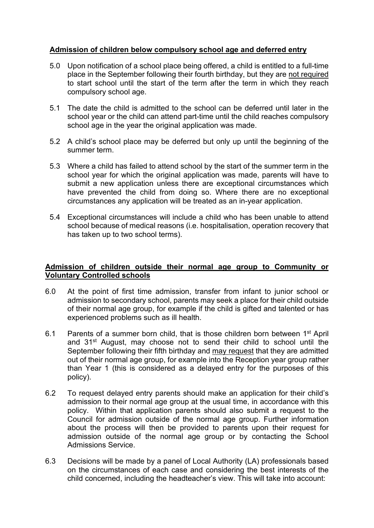# **Admission of children below compulsory school age and deferred entry**

- 5.0 Upon notification of a school place being offered, a child is entitled to a full-time place in the September following their fourth birthday, but they are not required to start school until the start of the term after the term in which they reach compulsory school age.
- 5.1 The date the child is admitted to the school can be deferred until later in the school year or the child can attend part-time until the child reaches compulsory school age in the year the original application was made.
- 5.2 A child's school place may be deferred but only up until the beginning of the summer term.
- 5.3 Where a child has failed to attend school by the start of the summer term in the school year for which the original application was made, parents will have to submit a new application unless there are exceptional circumstances which have prevented the child from doing so. Where there are no exceptional circumstances any application will be treated as an in-year application.
- 5.4 Exceptional circumstances will include a child who has been unable to attend school because of medical reasons (i.e. hospitalisation, operation recovery that has taken up to two school terms).

## **Admission of children outside their normal age group to Community or Voluntary Controlled schools**

- 6.0 At the point of first time admission, transfer from infant to junior school or admission to secondary school, parents may seek a place for their child outside of their normal age group, for example if the child is gifted and talented or has experienced problems such as ill health.
- 6.1 Parents of a summer born child, that is those children born between 1st April and 31<sup>st</sup> August, may choose not to send their child to school until the September following their fifth birthday and may request that they are admitted out of their normal age group, for example into the Reception year group rather than Year 1 (this is considered as a delayed entry for the purposes of this policy).
- 6.2 To request delayed entry parents should make an application for their child's admission to their normal age group at the usual time, in accordance with this policy. Within that application parents should also submit a request to the Council for admission outside of the normal age group. Further information about the process will then be provided to parents upon their request for admission outside of the normal age group or by contacting the School Admissions Service.
- 6.3 Decisions will be made by a panel of Local Authority (LA) professionals based on the circumstances of each case and considering the best interests of the child concerned, including the headteacher's view. This will take into account: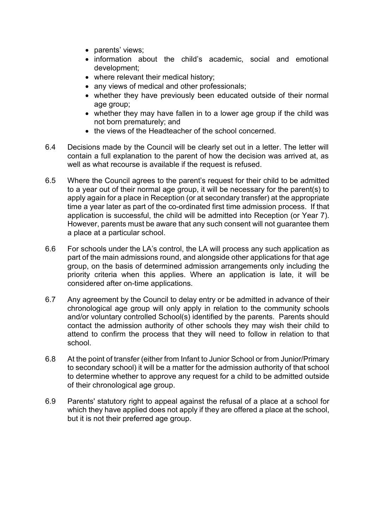- parents' views;
- information about the child's academic, social and emotional development;
- where relevant their medical history;
- any views of medical and other professionals:
- whether they have previously been educated outside of their normal age group;
- whether they may have fallen in to a lower age group if the child was not born prematurely; and
- the views of the Headteacher of the school concerned.
- 6.4 Decisions made by the Council will be clearly set out in a letter. The letter will contain a full explanation to the parent of how the decision was arrived at, as well as what recourse is available if the request is refused.
- 6.5 Where the Council agrees to the parent's request for their child to be admitted to a year out of their normal age group, it will be necessary for the parent(s) to apply again for a place in Reception (or at secondary transfer) at the appropriate time a year later as part of the co-ordinated first time admission process. If that application is successful, the child will be admitted into Reception (or Year 7). However, parents must be aware that any such consent will not guarantee them a place at a particular school.
- 6.6 For schools under the LA's control, the LA will process any such application as part of the main admissions round, and alongside other applications for that age group, on the basis of determined admission arrangements only including the priority criteria when this applies. Where an application is late, it will be considered after on-time applications.
- 6.7 Any agreement by the Council to delay entry or be admitted in advance of their chronological age group will only apply in relation to the community schools and/or voluntary controlled School(s) identified by the parents. Parents should contact the admission authority of other schools they may wish their child to attend to confirm the process that they will need to follow in relation to that school.
- 6.8 At the point of transfer (either from Infant to Junior School or from Junior/Primary to secondary school) it will be a matter for the admission authority of that school to determine whether to approve any request for a child to be admitted outside of their chronological age group.
- 6.9 Parents' statutory right to appeal against the refusal of a place at a school for which they have applied does not apply if they are offered a place at the school, but it is not their preferred age group.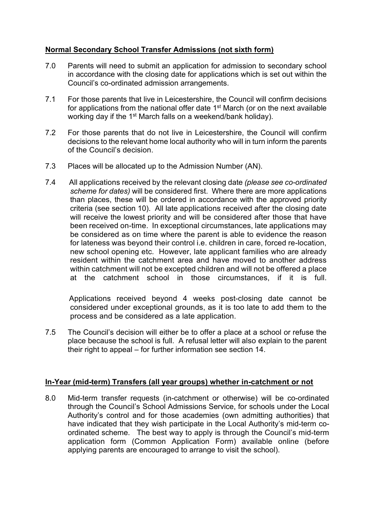# **Normal Secondary School Transfer Admissions (not sixth form)**

- 7.0 Parents will need to submit an application for admission to secondary school in accordance with the closing date for applications which is set out within the Council's co-ordinated admission arrangements.
- 7.1 For those parents that live in Leicestershire, the Council will confirm decisions for applications from the national offer date 1<sup>st</sup> March (or on the next available working day if the 1<sup>st</sup> March falls on a weekend/bank holiday).
- 7.2 For those parents that do not live in Leicestershire, the Council will confirm decisions to the relevant home local authority who will in turn inform the parents of the Council's decision.
- 7.3 Places will be allocated up to the Admission Number (AN).
- 7.4 All applications received by the relevant closing date *(please see co-ordinated scheme for dates)* will be considered first. Where there are more applications than places, these will be ordered in accordance with the approved priority criteria (see section 10). All late applications received after the closing date will receive the lowest priority and will be considered after those that have been received on-time. In exceptional circumstances, late applications may be considered as on time where the parent is able to evidence the reason for lateness was beyond their control i.e. children in care, forced re-location, new school opening etc. However, late applicant families who are already resident within the catchment area and have moved to another address within catchment will not be excepted children and will not be offered a place at the catchment school in those circumstances, if it is full.

Applications received beyond 4 weeks post-closing date cannot be considered under exceptional grounds, as it is too late to add them to the process and be considered as a late application.

7.5 The Council's decision will either be to offer a place at a school or refuse the place because the school is full. A refusal letter will also explain to the parent their right to appeal – for further information see section 14.

## **In-Year (mid-term) Transfers (all year groups) whether in-catchment or not**

8.0 Mid-term transfer requests (in-catchment or otherwise) will be co-ordinated through the Council's School Admissions Service, for schools under the Local Authority's control and for those academies (own admitting authorities) that have indicated that they wish participate in the Local Authority's mid-term coordinated scheme. The best way to apply is through the Council's mid-term application form (Common Application Form) available online (before applying parents are encouraged to arrange to visit the school).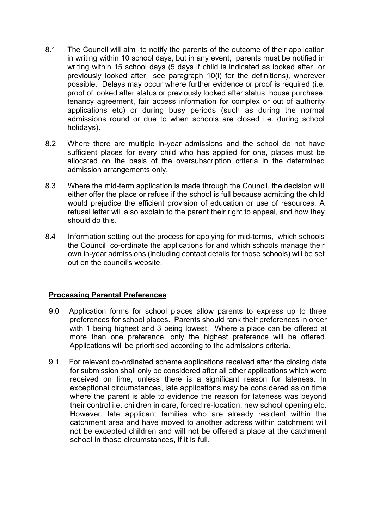- 8.1 The Council will aim to notify the parents of the outcome of their application in writing within 10 school days, but in any event, parents must be notified in writing within 15 school days (5 days if child is indicated as looked after or previously looked after see paragraph 10(i) for the definitions), wherever possible. Delays may occur where further evidence or proof is required (i.e. proof of looked after status or previously looked after status, house purchase, tenancy agreement, fair access information for complex or out of authority applications etc) or during busy periods (such as during the normal admissions round or due to when schools are closed i.e. during school holidays).
- 8.2 Where there are multiple in-year admissions and the school do not have sufficient places for every child who has applied for one, places must be allocated on the basis of the oversubscription criteria in the determined admission arrangements only.
- 8.3 Where the mid-term application is made through the Council, the decision will either offer the place or refuse if the school is full because admitting the child would prejudice the efficient provision of education or use of resources. A refusal letter will also explain to the parent their right to appeal, and how they should do this.
- 8.4 Information setting out the process for applying for mid-terms, which schools the Council co-ordinate the applications for and which schools manage their own in-year admissions (including contact details for those schools) will be set out on the council's website.

## **Processing Parental Preferences**

- 9.0 Application forms for school places allow parents to express up to three preferences for school places. Parents should rank their preferences in order with 1 being highest and 3 being lowest. Where a place can be offered at more than one preference, only the highest preference will be offered. Applications will be prioritised according to the admissions criteria.
- 9.1 For relevant co-ordinated scheme applications received after the closing date for submission shall only be considered after all other applications which were received on time, unless there is a significant reason for lateness. In exceptional circumstances, late applications may be considered as on time where the parent is able to evidence the reason for lateness was beyond their control i.e. children in care, forced re-location, new school opening etc. However, late applicant families who are already resident within the catchment area and have moved to another address within catchment will not be excepted children and will not be offered a place at the catchment school in those circumstances, if it is full.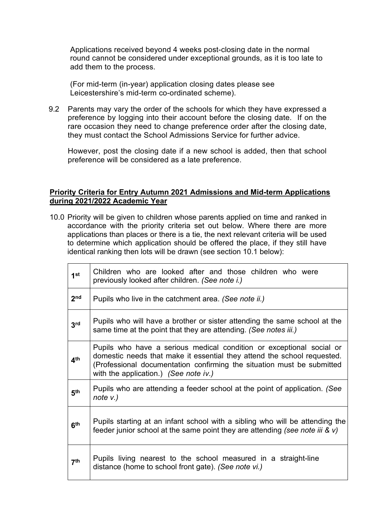Applications received beyond 4 weeks post-closing date in the normal round cannot be considered under exceptional grounds, as it is too late to add them to the process.

(For mid-term (in-year) application closing dates please see Leicestershire's mid-term co-ordinated scheme).

9.2 Parents may vary the order of the schools for which they have expressed a preference by logging into their account before the closing date. If on the rare occasion they need to change preference order after the closing date, they must contact the School Admissions Service for further advice.

However, post the closing date if a new school is added, then that school preference will be considered as a late preference.

#### **Priority Criteria for Entry Autumn 2021 Admissions and Mid-term Applications during 2021/2022 Academic Year**

10.0 Priority will be given to children whose parents applied on time and ranked in accordance with the priority criteria set out below. Where there are more applications than places or there is a tie, the next relevant criteria will be used to determine which application should be offered the place, if they still have identical ranking then lots will be drawn (see section 10.1 below):

| 1 <sup>st</sup> | Children who are looked after and those children who were<br>previously looked after children. (See note i.)                                                                                                                                                       |
|-----------------|--------------------------------------------------------------------------------------------------------------------------------------------------------------------------------------------------------------------------------------------------------------------|
| 2 <sub>nd</sub> | Pupils who live in the catchment area. (See note ii.)                                                                                                                                                                                                              |
| 3rd             | Pupils who will have a brother or sister attending the same school at the<br>same time at the point that they are attending. (See notes iii.)                                                                                                                      |
| 4 <sup>th</sup> | Pupils who have a serious medical condition or exceptional social or<br>domestic needs that make it essential they attend the school requested.<br>(Professional documentation confirming the situation must be submitted<br>with the application.) (See note iv.) |
| 5 <sup>th</sup> | Pupils who are attending a feeder school at the point of application. (See<br>note $v.$ )                                                                                                                                                                          |
| 6 <sup>th</sup> | Pupils starting at an infant school with a sibling who will be attending the<br>feeder junior school at the same point they are attending (see note iii & $v$ )                                                                                                    |
| 7 <sup>th</sup> | Pupils living nearest to the school measured in a straight-line<br>distance (home to school front gate). (See note vi.)                                                                                                                                            |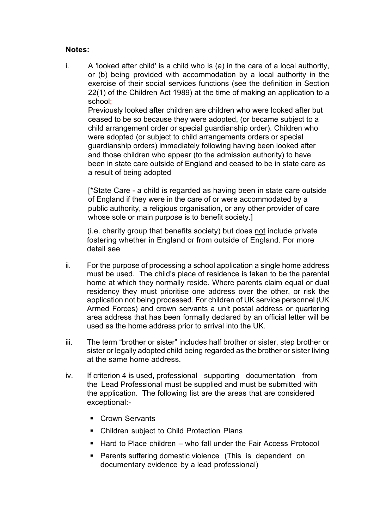## **Notes:**

i. A 'looked after child' is a child who is (a) in the care of a local authority, or (b) being provided with accommodation by a local authority in the exercise of their social services functions (see the definition in Section 22(1) of the Children Act 1989) at the time of making an application to a school;

Previously looked after children are children who were looked after but ceased to be so because they were adopted, (or became subject to a child arrangement order or special guardianship order). Children who were adopted (or subject to child arrangements orders or special guardianship orders) immediately following having been looked after and those children who appear (to the admission authority) to have been in state care outside of England and ceased to be in state care as a result of being adopted

[\*State Care - a child is regarded as having been in state care outside of England if they were in the care of or were accommodated by a public authority, a religious organisation, or any other provider of care whose sole or main purpose is to benefit society.

(i.e. charity group that benefits society) but does not include private fostering whether in England or from outside of England. For more detail see

- ii. For the purpose of processing a school application a single home address must be used. The child's place of residence is taken to be the parental home at which they normally reside. Where parents claim equal or dual residency they must prioritise one address over the other, or risk the application not being processed. For children of UK service personnel (UK Armed Forces) and crown servants a unit postal address or quartering area address that has been formally declared by an official letter will be used as the home address prior to arrival into the UK.
- iii. The term "brother or sister" includes half brother or sister, step brother or sister or legally adopted child being regarded as the brother or sister living at the same home address.
- iv. If criterion 4 is used, professional supporting documentation from the Lead Professional must be supplied and must be submitted with the application. The following list are the areas that are considered exceptional:-
	- Crown Servants
	- Children subject to Child Protection Plans
	- $\blacksquare$  Hard to Place children who fall under the Fair Access Protocol
	- **Parents suffering domestic violence (This is dependent on** documentary evidence by a lead professional)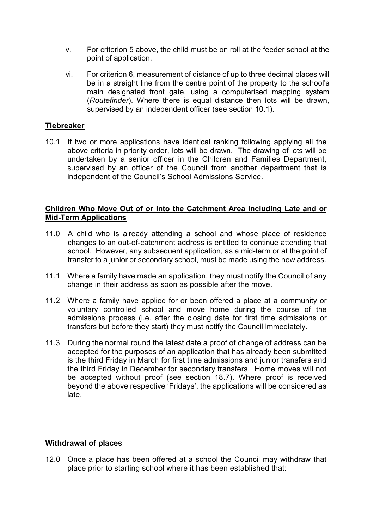- v. For criterion 5 above, the child must be on roll at the feeder school at the point of application.
- vi. For criterion 6, measurement of distance of up to three decimal places will be in a straight line from the centre point of the property to the school's main designated front gate, using a computerised mapping system (*Routefinder*). Where there is equal distance then lots will be drawn, supervised by an independent officer (see section 10.1).

## **Tiebreaker**

10.1 If two or more applications have identical ranking following applying all the above criteria in priority order, lots will be drawn. The drawing of lots will be undertaken by a senior officer in the Children and Families Department, supervised by an officer of the Council from another department that is independent of the Council's School Admissions Service.

#### **Children Who Move Out of or Into the Catchment Area including Late and or Mid-Term Applications**

- 11.0 A child who is already attending a school and whose place of residence changes to an out-of-catchment address is entitled to continue attending that school. However, any subsequent application, as a mid-term or at the point of transfer to a junior or secondary school, must be made using the new address.
- 11.1 Where a family have made an application, they must notify the Council of any change in their address as soon as possible after the move.
- 11.2 Where a family have applied for or been offered a place at a community or voluntary controlled school and move home during the course of the admissions process (i.e. after the closing date for first time admissions or transfers but before they start) they must notify the Council immediately.
- 11.3 During the normal round the latest date a proof of change of address can be accepted for the purposes of an application that has already been submitted is the third Friday in March for first time admissions and junior transfers and the third Friday in December for secondary transfers. Home moves will not be accepted without proof (see section 18.7). Where proof is received beyond the above respective 'Fridays', the applications will be considered as late.

## **Withdrawal of places**

12.0 Once a place has been offered at a school the Council may withdraw that place prior to starting school where it has been established that: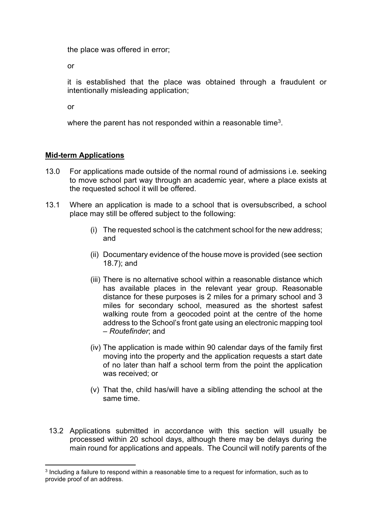the place was offered in error;

or

it is established that the place was obtained through a fraudulent or intentionally misleading application;

or

where the parent has not responded within a reasonable time<sup>3</sup>.

## **Mid-term Applications**

- 13.0 For applications made outside of the normal round of admissions i.e. seeking to move school part way through an academic year, where a place exists at the requested school it will be offered.
- 13.1 Where an application is made to a school that is oversubscribed, a school place may still be offered subject to the following:
	- (i) The requested school is the catchment school for the new address; and
	- (ii) Documentary evidence of the house move is provided (see section 18.7); and
	- (iii) There is no alternative school within a reasonable distance which has available places in the relevant year group. Reasonable distance for these purposes is 2 miles for a primary school and 3 miles for secondary school, measured as the shortest safest walking route from a geocoded point at the centre of the home address to the School's front gate using an electronic mapping tool – *Routefinder*; and
	- (iv) The application is made within 90 calendar days of the family first moving into the property and the application requests a start date of no later than half a school term from the point the application was received; or
	- (v) That the, child has/will have a sibling attending the school at the same time.
	- 13.2 Applications submitted in accordance with this section will usually be processed within 20 school days, although there may be delays during the main round for applications and appeals. The Council will notify parents of the

<sup>3</sup> Including a failure to respond within a reasonable time to a request for information, such as to provide proof of an address.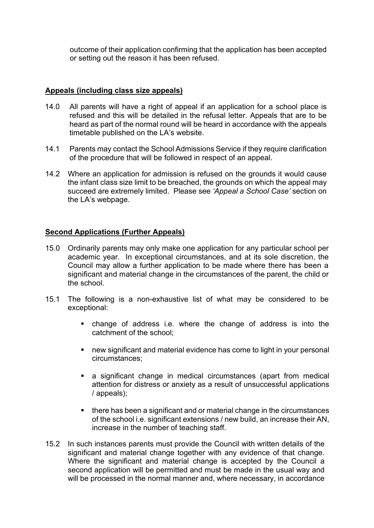outcome of their application confirming that the application has been accepted or setting out the reason it has been refused.

## **Appeals (including class size appeals)**

- 14.0 All parents will have a right of appeal if an application for a school place is refused and this will be detailed in the refusal letter. Appeals that are to be heard as part of the normal round will be heard in accordance with the appeals timetable published on the LA's website.
- 14.1 Parents may contact the School Admissions Service if they require clarification of the procedure that will be followed in respect of an appeal.
- 14.2 Where an application for admission is refused on the grounds it would cause the infant class size limit to be breached, the grounds on which the appeal may succeed are extremely limited. Please see *'Appeal a School Case'* section on the LA's webpage.

## **Second Applications (Further Appeals)**

- 15.0 Ordinarily parents may only make one application for any particular school per academic year. In exceptional circumstances, and at its sole discretion, the Council may allow a further application to be made where there has been a significant and material change in the circumstances of the parent, the child or the school.
- 15.1 The following is a non-exhaustive list of what may be considered to be exceptional:
	- change of address i.e. where the change of address is into the catchment of the school;
	- new significant and material evidence has come to light in your personal circumstances;
	- a significant change in medical circumstances (apart from medical attention for distress or anxiety as a result of unsuccessful applications / appeals);
	- **there has been a significant and or material change in the circumstances** of the school i.e. significant extensions / new build, an increase their AN, increase in the number of teaching staff.
- 15.2 In such instances parents must provide the Council with written details of the significant and material change together with any evidence of that change. Where the significant and material change is accepted by the Council a second application will be permitted and must be made in the usual way and will be processed in the normal manner and, where necessary, in accordance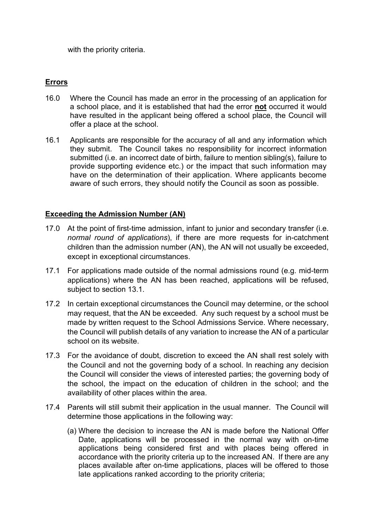with the priority criteria.

# **Errors**

- 16.0 Where the Council has made an error in the processing of an application for a school place, and it is established that had the error **not** occurred it would have resulted in the applicant being offered a school place, the Council will offer a place at the school.
- 16.1 Applicants are responsible for the accuracy of all and any information which they submit. The Council takes no responsibility for incorrect information submitted (i.e. an incorrect date of birth, failure to mention sibling(s), failure to provide supporting evidence etc.) or the impact that such information may have on the determination of their application. Where applicants become aware of such errors, they should notify the Council as soon as possible.

## **Exceeding the Admission Number (AN)**

- 17.0 At the point of first-time admission, infant to junior and secondary transfer (i.e. *normal round of applications*), if there are more requests for in-catchment children than the admission number (AN), the AN will not usually be exceeded, except in exceptional circumstances.
- 17.1 For applications made outside of the normal admissions round (e.g. mid-term applications) where the AN has been reached, applications will be refused, subject to section 13.1.
- 17.2 In certain exceptional circumstances the Council may determine, or the school may request, that the AN be exceeded. Any such request by a school must be made by written request to the School Admissions Service. Where necessary, the Council will publish details of any variation to increase the AN of a particular school on its website.
- 17.3 For the avoidance of doubt, discretion to exceed the AN shall rest solely with the Council and not the governing body of a school. In reaching any decision the Council will consider the views of interested parties; the governing body of the school, the impact on the education of children in the school; and the availability of other places within the area.
- 17.4 Parents will still submit their application in the usual manner. The Council will determine those applications in the following way:
	- (a) Where the decision to increase the AN is made before the National Offer Date, applications will be processed in the normal way with on-time applications being considered first and with places being offered in accordance with the priority criteria up to the increased AN. If there are any places available after on-time applications, places will be offered to those late applications ranked according to the priority criteria;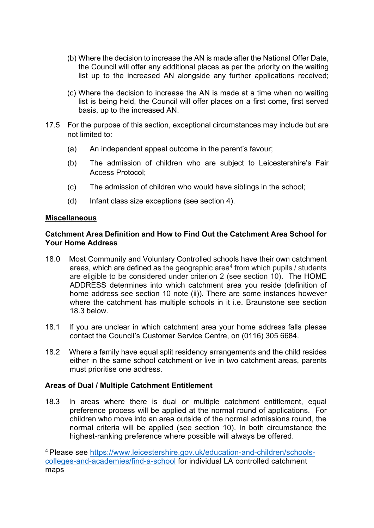- (b) Where the decision to increase the AN is made after the National Offer Date, the Council will offer any additional places as per the priority on the waiting list up to the increased AN alongside any further applications received;
- (c) Where the decision to increase the AN is made at a time when no waiting list is being held, the Council will offer places on a first come, first served basis, up to the increased AN.
- 17.5 For the purpose of this section, exceptional circumstances may include but are not limited to:
	- (a) An independent appeal outcome in the parent's favour;
	- (b) The admission of children who are subject to Leicestershire's Fair Access Protocol;
	- (c) The admission of children who would have siblings in the school;
	- (d) Infant class size exceptions (see section 4).

#### **Miscellaneous**

#### **Catchment Area Definition and How to Find Out the Catchment Area School for Your Home Address**

- 18.0 Most Community and Voluntary Controlled schools have their own catchment areas, which are defined as the geographic area<sup>4</sup> from which pupils / students are eligible to be considered under criterion 2 (see section 10). The HOME ADDRESS determines into which catchment area you reside (definition of home address see section 10 note (ii)). There are some instances however where the catchment has multiple schools in it i.e. Braunstone see section 18.3 below.
- 18.1 If you are unclear in which catchment area your home address falls please contact the Council's Customer Service Centre, on (0116) 305 6684.
- 18.2 Where a family have equal split residency arrangements and the child resides either in the same school catchment or live in two catchment areas, parents must prioritise one address.

#### **Areas of Dual / Multiple Catchment Entitlement**

18.3 In areas where there is dual or multiple catchment entitlement, equal preference process will be applied at the normal round of applications. For children who move into an area outside of the normal admissions round, the normal criteria will be applied (see section 10). In both circumstance the highest-ranking preference where possible will always be offered.

<sup>4</sup> Please see [https://www.leicestershire.gov.uk/education-and-children/schools](https://www.leicestershire.gov.uk/education-and-children/schools-colleges-and-academies/find-a-school)[colleges-and-academies/find-a-school](https://www.leicestershire.gov.uk/education-and-children/schools-colleges-and-academies/find-a-school) for individual LA controlled catchment maps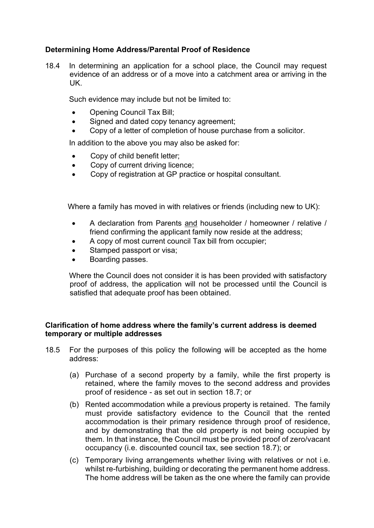# **Determining Home Address/Parental Proof of Residence**

18.4 In determining an application for a school place, the Council may request evidence of an address or of a move into a catchment area or arriving in the UK.

Such evidence may include but not be limited to:

- Opening Council Tax Bill;
- Signed and dated copy tenancy agreement;
- Copy of a letter of completion of house purchase from a solicitor.

In addition to the above you may also be asked for:

- Copy of child benefit letter;
- Copy of current driving licence;
- Copy of registration at GP practice or hospital consultant.

Where a family has moved in with relatives or friends (including new to UK):

- A declaration from Parents and householder / homeowner / relative / friend confirming the applicant family now reside at the address;
- A copy of most current council Tax bill from occupier;
- Stamped passport or visa;
- Boarding passes.

Where the Council does not consider it is has been provided with satisfactory proof of address, the application will not be processed until the Council is satisfied that adequate proof has been obtained.

## **Clarification of home address where the family's current address is deemed temporary or multiple addresses**

- 18.5 For the purposes of this policy the following will be accepted as the home address:
	- (a) Purchase of a second property by a family, while the first property is retained, where the family moves to the second address and provides proof of residence - as set out in section 18.7; or
	- (b) Rented accommodation while a previous property is retained. The family must provide satisfactory evidence to the Council that the rented accommodation is their primary residence through proof of residence, and by demonstrating that the old property is not being occupied by them. In that instance, the Council must be provided proof of zero/vacant occupancy (i.e. discounted council tax, see section 18.7); or
	- (c) Temporary living arrangements whether living with relatives or not i.e. whilst re-furbishing, building or decorating the permanent home address. The home address will be taken as the one where the family can provide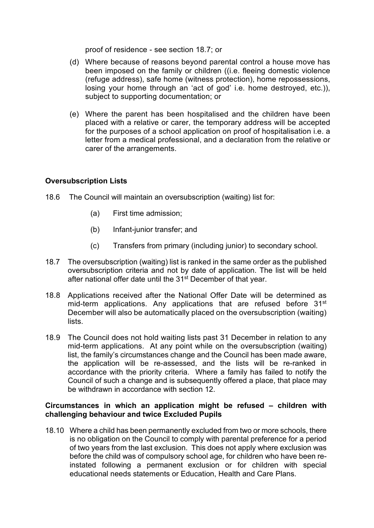proof of residence - see section 18.7; or

- (d) Where because of reasons beyond parental control a house move has been imposed on the family or children ((i.e. fleeing domestic violence (refuge address), safe home (witness protection), home repossessions, losing your home through an 'act of god' i.e. home destroyed, etc.)), subject to supporting documentation; or
- (e) Where the parent has been hospitalised and the children have been placed with a relative or carer, the temporary address will be accepted for the purposes of a school application on proof of hospitalisation i.e. a letter from a medical professional, and a declaration from the relative or carer of the arrangements.

# **Oversubscription Lists**

- 18.6 The Council will maintain an oversubscription (waiting) list for:
	- (a) First time admission;
	- (b) Infant-junior transfer; and
	- (c) Transfers from primary (including junior) to secondary school.
- 18.7 The oversubscription (waiting) list is ranked in the same order as the published oversubscription criteria and not by date of application. The list will be held after national offer date until the 31<sup>st</sup> December of that year.
- 18.8 Applications received after the National Offer Date will be determined as mid-term applications. Any applications that are refused before 31<sup>st</sup> December will also be automatically placed on the oversubscription (waiting) lists.
- 18.9 The Council does not hold waiting lists past 31 December in relation to any mid-term applications. At any point while on the oversubscription (waiting) list, the family's circumstances change and the Council has been made aware, the application will be re-assessed, and the lists will be re-ranked in accordance with the priority criteria. Where a family has failed to notify the Council of such a change and is subsequently offered a place, that place may be withdrawn in accordance with section 12.

## **Circumstances in which an application might be refused – children with challenging behaviour and twice Excluded Pupils**

18.10 Where a child has been permanently excluded from two or more schools, there is no obligation on the Council to comply with parental preference for a period of two years from the last exclusion. This does not apply where exclusion was before the child was of compulsory school age, for children who have been reinstated following a permanent exclusion or for children with special educational needs statements or Education, Health and Care Plans.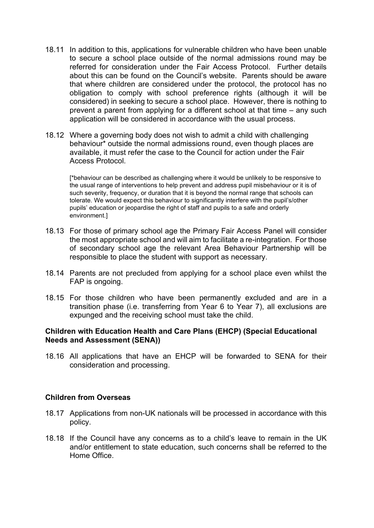- 18.11 In addition to this, applications for vulnerable children who have been unable to secure a school place outside of the normal admissions round may be referred for consideration under the Fair Access Protocol. Further details about this can be found on the Council's website. Parents should be aware that where children are considered under the protocol, the protocol has no obligation to comply with school preference rights (although it will be considered) in seeking to secure a school place. However, there is nothing to prevent a parent from applying for a different school at that time – any such application will be considered in accordance with the usual process.
- 18.12 Where a governing body does not wish to admit a child with challenging behaviour\* outside the normal admissions round, even though places are available, it must refer the case to the Council for action under the Fair Access Protocol.

[\*behaviour can be described as challenging where it would be unlikely to be responsive to the usual range of interventions to help prevent and address pupil misbehaviour or it is of such severity, frequency, or duration that it is beyond the normal range that schools can tolerate. We would expect this behaviour to significantly interfere with the pupil's/other pupils' education or jeopardise the right of staff and pupils to a safe and orderly environment.]

- 18.13 For those of primary school age the Primary Fair Access Panel will consider the most appropriate school and will aim to facilitate a re-integration. For those of secondary school age the relevant Area Behaviour Partnership will be responsible to place the student with support as necessary.
- 18.14 Parents are not precluded from applying for a school place even whilst the FAP is ongoing.
- 18.15 For those children who have been permanently excluded and are in a transition phase (i.e. transferring from Year 6 to Year 7), all exclusions are expunged and the receiving school must take the child.

## **Children with Education Health and Care Plans (EHCP) (Special Educational Needs and Assessment (SENA))**

18.16 All applications that have an EHCP will be forwarded to SENA for their consideration and processing.

#### **Children from Overseas**

- 18.17 Applications from non-UK nationals will be processed in accordance with this policy.
- 18.18 If the Council have any concerns as to a child's leave to remain in the UK and/or entitlement to state education, such concerns shall be referred to the Home Office.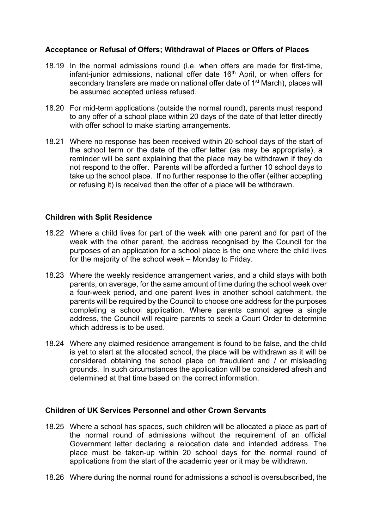## **Acceptance or Refusal of Offers; Withdrawal of Places or Offers of Places**

- 18.19 In the normal admissions round (i.e. when offers are made for first-time, infant-junior admissions, national offer date 16<sup>th</sup> April, or when offers for secondary transfers are made on national offer date of 1<sup>st</sup> March), places will be assumed accepted unless refused.
- 18.20 For mid-term applications (outside the normal round), parents must respond to any offer of a school place within 20 days of the date of that letter directly with offer school to make starting arrangements.
- 18.21 Where no response has been received within 20 school days of the start of the school term or the date of the offer letter (as may be appropriate), a reminder will be sent explaining that the place may be withdrawn if they do not respond to the offer. Parents will be afforded a further 10 school days to take up the school place. If no further response to the offer (either accepting or refusing it) is received then the offer of a place will be withdrawn.

## **Children with Split Residence**

- 18.22 Where a child lives for part of the week with one parent and for part of the week with the other parent, the address recognised by the Council for the purposes of an application for a school place is the one where the child lives for the majority of the school week – Monday to Friday.
- 18.23 Where the weekly residence arrangement varies, and a child stays with both parents, on average, for the same amount of time during the school week over a four-week period, and one parent lives in another school catchment, the parents will be required by the Council to choose one address for the purposes completing a school application. Where parents cannot agree a single address, the Council will require parents to seek a Court Order to determine which address is to be used.
- 18.24 Where any claimed residence arrangement is found to be false, and the child is yet to start at the allocated school, the place will be withdrawn as it will be considered obtaining the school place on fraudulent and / or misleading grounds. In such circumstances the application will be considered afresh and determined at that time based on the correct information.

## **Children of UK Services Personnel and other Crown Servants**

- 18.25 Where a school has spaces, such children will be allocated a place as part of the normal round of admissions without the requirement of an official Government letter declaring a relocation date and intended address. The place must be taken-up within 20 school days for the normal round of applications from the start of the academic year or it may be withdrawn.
- 18.26 Where during the normal round for admissions a school is oversubscribed, the